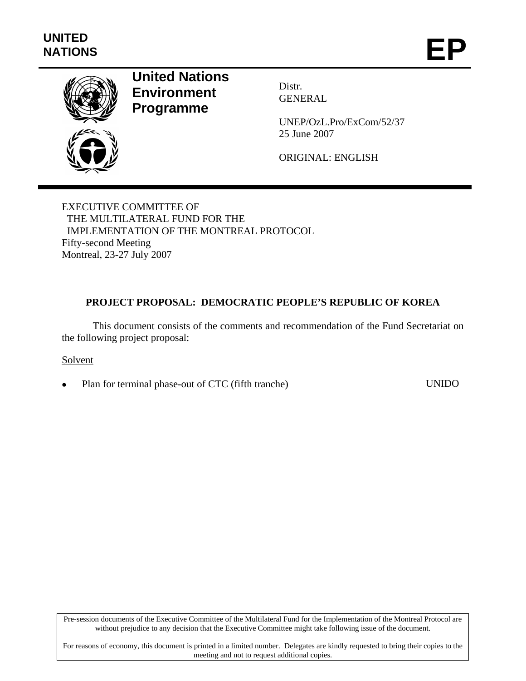

# **United Nations Environment Programme**

Distr. GENERAL

UNEP/OzL.Pro/ExCom/52/37 25 June 2007

ORIGINAL: ENGLISH

EXECUTIVE COMMITTEE OF THE MULTILATERAL FUND FOR THE IMPLEMENTATION OF THE MONTREAL PROTOCOL Fifty-second Meeting Montreal, 23-27 July 2007

## **PROJECT PROPOSAL: DEMOCRATIC PEOPLE'S REPUBLIC OF KOREA**

This document consists of the comments and recommendation of the Fund Secretariat on the following project proposal:

Solvent

Plan for terminal phase-out of CTC (fifth tranche) UNIDO

Pre-session documents of the Executive Committee of the Multilateral Fund for the Implementation of the Montreal Protocol are without prejudice to any decision that the Executive Committee might take following issue of the document.

For reasons of economy, this document is printed in a limited number. Delegates are kindly requested to bring their copies to the meeting and not to request additional copies.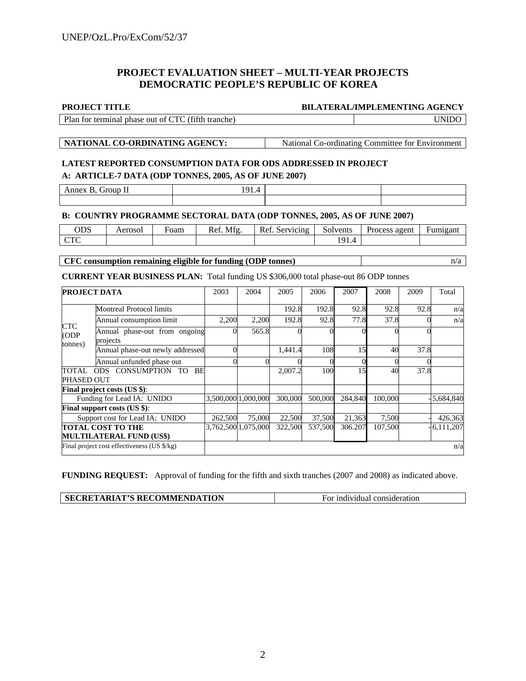## **PROJECT EVALUATION SHEET – MULTI-YEAR PROJECTS DEMOCRATIC PEOPLE'S REPUBLIC OF KOREA**

#### **PROJECT TITLE BILATERAL/IMPLEMENTING AGENCY**

| Plan for terminal phase out of CTC (fifth tranche) | <b>UNIDO</b> |
|----------------------------------------------------|--------------|
|                                                    |              |

**NATIONAL CO-ORDINATING AGENCY:** National Co-ordinating Committee for Environment

## **LATEST REPORTED CONSUMPTION DATA FOR ODS ADDRESSED IN PROJECT**

## **A: ARTICLE-7 DATA (ODP TONNES, 2005, AS OF JUNE 2007)**

Annex B, Group II 191.4

### **B: COUNTRY PROGRAMME SECTORAL DATA (ODP TONNES, 2005, AS OF JUNE 2007)**

| ODS                               | Aerosol | Foam | Mfg<br>$\mathbf{r}$<br>Kei. | $\sqrt{ }$<br>Servicing<br>Rei | Solvents    | Process agent<br>and the control of the control of | -<br>Fumigant |
|-----------------------------------|---------|------|-----------------------------|--------------------------------|-------------|----------------------------------------------------|---------------|
| $\cap$ T $\cap$<br>$\overline{ }$ |         |      |                             |                                | $1^{\circ}$ |                                                    |               |

### **CFC consumption remaining eligible for funding (ODP tonnes)**  $n/a$

### **CURRENT YEAR BUSINESS PLAN:** Total funding US \$306,000 total phase-out 86 ODP tonnes

| <b>PROJECT DATA</b>                 |                                             | 2003    | 2004                | 2005    | 2006    | 2007    | 2008    | 2009 | Total        |
|-------------------------------------|---------------------------------------------|---------|---------------------|---------|---------|---------|---------|------|--------------|
| <b>CTC</b><br>(ODP<br>tonnes)       | <b>Montreal Protocol limits</b>             |         |                     | 192.8   | 192.8   | 92.8    | 92.8    | 92.8 | n/a          |
|                                     | Annual consumption limit                    | 2,200   | 2,200               | 192.8   | 92.8    | 77.8    | 37.8    |      | n/a          |
|                                     | Annual phase-out from ongoing<br>projects   |         | 565.8               |         |         |         |         |      |              |
|                                     | Annual phase-out newly addressed            |         |                     | 1,441.4 | 108     | 15      | 40      | 37.8 |              |
|                                     | Annual unfunded phase out                   |         |                     |         |         |         |         |      |              |
| ODS CONSUMPTION TO<br>BE<br>TOTAL - |                                             |         |                     | 2,007.2 | 100     | 15      | 40      | 37.8 |              |
| PHASED OUT                          |                                             |         |                     |         |         |         |         |      |              |
|                                     | <b>Final project costs (US \$):</b>         |         |                     |         |         |         |         |      |              |
|                                     | Funding for Lead IA: UNIDO                  |         | 3,500,000 1,000,000 | 300,000 | 500,000 | 284,840 | 100,000 |      | $-5,684,840$ |
|                                     | Final support costs (US \$):                |         |                     |         |         |         |         |      |              |
|                                     | Support cost for Lead IA: UNIDO             | 262,500 | 75,000              | 22,500  | 37,500  | 21,363  | 7,500   |      | 426,363      |
|                                     | <b>TOTAL COST TO THE</b>                    |         | 3,762,500 1,075,000 | 322,500 | 537,500 | 306.207 | 107,500 |      | $-6,111,207$ |
|                                     | <b>MULTILATERAL FUND (US\$)</b>             |         |                     |         |         |         |         |      |              |
|                                     | Final project cost effectiveness (US \$/kg) |         |                     |         |         |         |         |      | n/a          |

**FUNDING REQUEST:** Approval of funding for the fifth and sixth tranches (2007 and 2008) as indicated above.

| <b>SECRETARIAT'S RECOMMENDATION</b> | For individual consideration |
|-------------------------------------|------------------------------|
|                                     |                              |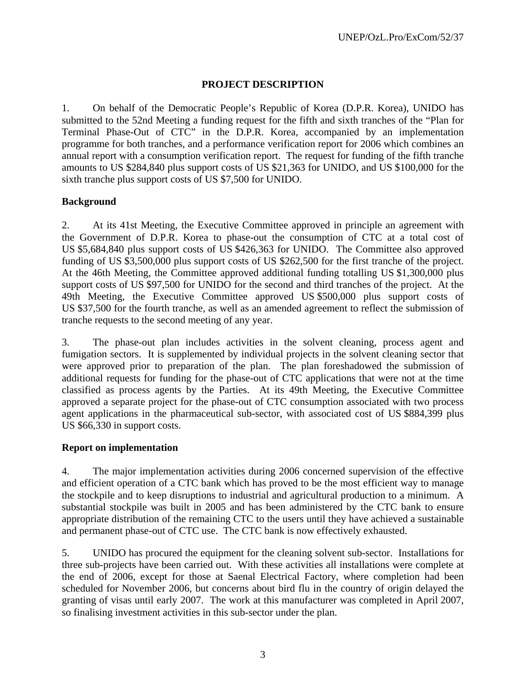## **PROJECT DESCRIPTION**

1. On behalf of the Democratic People's Republic of Korea (D.P.R. Korea), UNIDO has submitted to the 52nd Meeting a funding request for the fifth and sixth tranches of the "Plan for Terminal Phase-Out of CTC" in the D.P.R. Korea, accompanied by an implementation programme for both tranches, and a performance verification report for 2006 which combines an annual report with a consumption verification report. The request for funding of the fifth tranche amounts to US \$284,840 plus support costs of US \$21,363 for UNIDO, and US \$100,000 for the sixth tranche plus support costs of US \$7,500 for UNIDO.

## **Background**

2. At its 41st Meeting, the Executive Committee approved in principle an agreement with the Government of D.P.R. Korea to phase-out the consumption of CTC at a total cost of US \$5,684,840 plus support costs of US \$426,363 for UNIDO. The Committee also approved funding of US \$3,500,000 plus support costs of US \$262,500 for the first tranche of the project. At the 46th Meeting, the Committee approved additional funding totalling US \$1,300,000 plus support costs of US \$97,500 for UNIDO for the second and third tranches of the project. At the 49th Meeting, the Executive Committee approved US \$500,000 plus support costs of US \$37,500 for the fourth tranche, as well as an amended agreement to reflect the submission of tranche requests to the second meeting of any year.

3. The phase-out plan includes activities in the solvent cleaning, process agent and fumigation sectors. It is supplemented by individual projects in the solvent cleaning sector that were approved prior to preparation of the plan. The plan foreshadowed the submission of additional requests for funding for the phase-out of CTC applications that were not at the time classified as process agents by the Parties. At its 49th Meeting, the Executive Committee approved a separate project for the phase-out of CTC consumption associated with two process agent applications in the pharmaceutical sub-sector, with associated cost of US \$884,399 plus US \$66,330 in support costs.

## **Report on implementation**

4. The major implementation activities during 2006 concerned supervision of the effective and efficient operation of a CTC bank which has proved to be the most efficient way to manage the stockpile and to keep disruptions to industrial and agricultural production to a minimum. A substantial stockpile was built in 2005 and has been administered by the CTC bank to ensure appropriate distribution of the remaining CTC to the users until they have achieved a sustainable and permanent phase-out of CTC use. The CTC bank is now effectively exhausted.

5. UNIDO has procured the equipment for the cleaning solvent sub-sector. Installations for three sub-projects have been carried out. With these activities all installations were complete at the end of 2006, except for those at Saenal Electrical Factory, where completion had been scheduled for November 2006, but concerns about bird flu in the country of origin delayed the granting of visas until early 2007. The work at this manufacturer was completed in April 2007, so finalising investment activities in this sub-sector under the plan.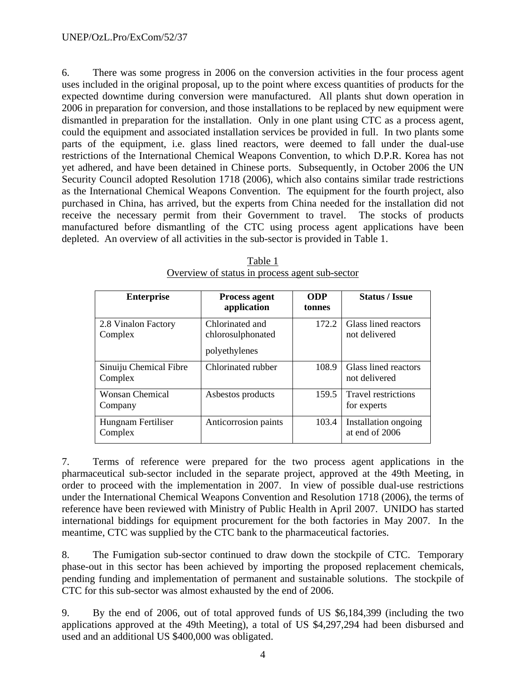6. There was some progress in 2006 on the conversion activities in the four process agent uses included in the original proposal, up to the point where excess quantities of products for the expected downtime during conversion were manufactured. All plants shut down operation in 2006 in preparation for conversion, and those installations to be replaced by new equipment were dismantled in preparation for the installation. Only in one plant using CTC as a process agent, could the equipment and associated installation services be provided in full. In two plants some parts of the equipment, i.e. glass lined reactors, were deemed to fall under the dual-use restrictions of the International Chemical Weapons Convention, to which D.P.R. Korea has not yet adhered, and have been detained in Chinese ports. Subsequently, in October 2006 the UN Security Council adopted Resolution 1718 (2006), which also contains similar trade restrictions as the International Chemical Weapons Convention. The equipment for the fourth project, also purchased in China, has arrived, but the experts from China needed for the installation did not receive the necessary permit from their Government to travel. The stocks of products manufactured before dismantling of the CTC using process agent applications have been depleted. An overview of all activities in the sub-sector is provided in Table 1.

| <b>Enterprise</b>                 | <b>Process agent</b><br>application                   | <b>ODP</b><br>tonnes | <b>Status / Issue</b>                     |
|-----------------------------------|-------------------------------------------------------|----------------------|-------------------------------------------|
| 2.8 Vinalon Factory<br>Complex    | Chlorinated and<br>chlorosulphonated<br>polyethylenes | 172.2                | Glass lined reactors<br>not delivered     |
| Sinuiju Chemical Fibre<br>Complex | Chlorinated rubber                                    | 108.9                | Glass lined reactors<br>not delivered     |
| <b>Wonsan Chemical</b><br>Company | Asbestos products                                     | 159.5                | <b>Travel restrictions</b><br>for experts |
| Hungnam Fertiliser<br>Complex     | Anticorrosion paints                                  | 103.4                | Installation ongoing<br>at end of 2006    |

Table 1 Overview of status in process agent sub-sector

7. Terms of reference were prepared for the two process agent applications in the pharmaceutical sub-sector included in the separate project, approved at the 49th Meeting, in order to proceed with the implementation in 2007. In view of possible dual-use restrictions under the International Chemical Weapons Convention and Resolution 1718 (2006), the terms of reference have been reviewed with Ministry of Public Health in April 2007. UNIDO has started international biddings for equipment procurement for the both factories in May 2007. In the meantime, CTC was supplied by the CTC bank to the pharmaceutical factories.

8. The Fumigation sub-sector continued to draw down the stockpile of CTC. Temporary phase-out in this sector has been achieved by importing the proposed replacement chemicals, pending funding and implementation of permanent and sustainable solutions. The stockpile of CTC for this sub-sector was almost exhausted by the end of 2006.

9. By the end of 2006, out of total approved funds of US \$6,184,399 (including the two applications approved at the 49th Meeting), a total of US \$4,297,294 had been disbursed and used and an additional US \$400,000 was obligated.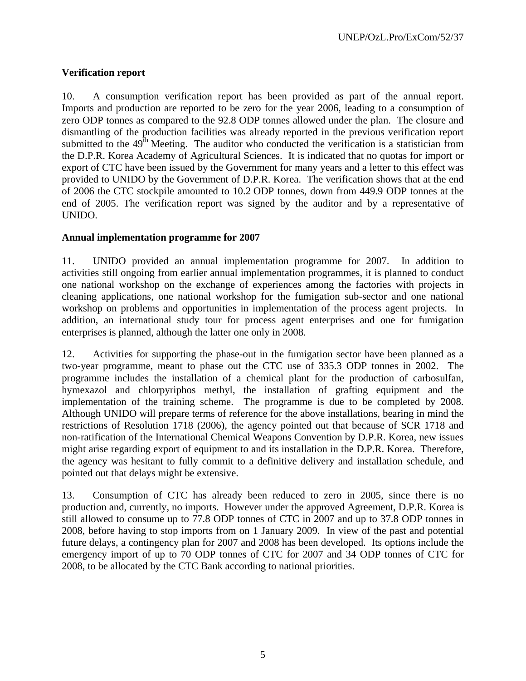## **Verification report**

10. A consumption verification report has been provided as part of the annual report. Imports and production are reported to be zero for the year 2006, leading to a consumption of zero ODP tonnes as compared to the 92.8 ODP tonnes allowed under the plan. The closure and dismantling of the production facilities was already reported in the previous verification report submitted to the  $49<sup>th</sup>$  Meeting. The auditor who conducted the verification is a statistician from the D.P.R. Korea Academy of Agricultural Sciences. It is indicated that no quotas for import or export of CTC have been issued by the Government for many years and a letter to this effect was provided to UNIDO by the Government of D.P.R. Korea. The verification shows that at the end of 2006 the CTC stockpile amounted to 10.2 ODP tonnes, down from 449.9 ODP tonnes at the end of 2005. The verification report was signed by the auditor and by a representative of UNIDO.

## **Annual implementation programme for 2007**

11. UNIDO provided an annual implementation programme for 2007. In addition to activities still ongoing from earlier annual implementation programmes, it is planned to conduct one national workshop on the exchange of experiences among the factories with projects in cleaning applications, one national workshop for the fumigation sub-sector and one national workshop on problems and opportunities in implementation of the process agent projects. In addition, an international study tour for process agent enterprises and one for fumigation enterprises is planned, although the latter one only in 2008.

12. Activities for supporting the phase-out in the fumigation sector have been planned as a two-year programme, meant to phase out the CTC use of 335.3 ODP tonnes in 2002. The programme includes the installation of a chemical plant for the production of carbosulfan, hymexazol and chlorpyriphos methyl, the installation of grafting equipment and the implementation of the training scheme. The programme is due to be completed by 2008. Although UNIDO will prepare terms of reference for the above installations, bearing in mind the restrictions of Resolution 1718 (2006), the agency pointed out that because of SCR 1718 and non-ratification of the International Chemical Weapons Convention by D.P.R. Korea, new issues might arise regarding export of equipment to and its installation in the D.P.R. Korea. Therefore, the agency was hesitant to fully commit to a definitive delivery and installation schedule, and pointed out that delays might be extensive.

13. Consumption of CTC has already been reduced to zero in 2005, since there is no production and, currently, no imports. However under the approved Agreement, D.P.R. Korea is still allowed to consume up to 77.8 ODP tonnes of CTC in 2007 and up to 37.8 ODP tonnes in 2008, before having to stop imports from on 1 January 2009. In view of the past and potential future delays, a contingency plan for 2007 and 2008 has been developed. Its options include the emergency import of up to 70 ODP tonnes of CTC for 2007 and 34 ODP tonnes of CTC for 2008, to be allocated by the CTC Bank according to national priorities.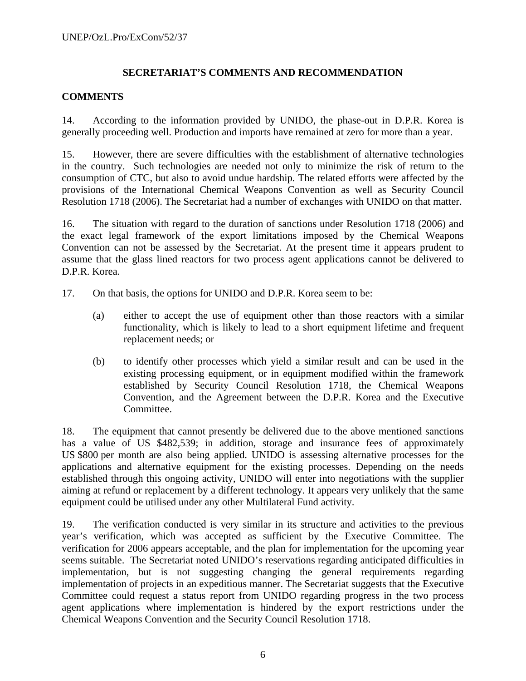## **SECRETARIAT'S COMMENTS AND RECOMMENDATION**

## **COMMENTS**

14. According to the information provided by UNIDO, the phase-out in D.P.R. Korea is generally proceeding well. Production and imports have remained at zero for more than a year.

15. However, there are severe difficulties with the establishment of alternative technologies in the country. Such technologies are needed not only to minimize the risk of return to the consumption of CTC, but also to avoid undue hardship. The related efforts were affected by the provisions of the International Chemical Weapons Convention as well as Security Council Resolution 1718 (2006). The Secretariat had a number of exchanges with UNIDO on that matter.

16. The situation with regard to the duration of sanctions under Resolution 1718 (2006) and the exact legal framework of the export limitations imposed by the Chemical Weapons Convention can not be assessed by the Secretariat. At the present time it appears prudent to assume that the glass lined reactors for two process agent applications cannot be delivered to D.P.R. Korea.

- 17. On that basis, the options for UNIDO and D.P.R. Korea seem to be:
	- (a) either to accept the use of equipment other than those reactors with a similar functionality, which is likely to lead to a short equipment lifetime and frequent replacement needs; or
	- (b) to identify other processes which yield a similar result and can be used in the existing processing equipment, or in equipment modified within the framework established by Security Council Resolution 1718, the Chemical Weapons Convention, and the Agreement between the D.P.R. Korea and the Executive Committee.

18. The equipment that cannot presently be delivered due to the above mentioned sanctions has a value of US \$482,539; in addition, storage and insurance fees of approximately US \$800 per month are also being applied. UNIDO is assessing alternative processes for the applications and alternative equipment for the existing processes. Depending on the needs established through this ongoing activity, UNIDO will enter into negotiations with the supplier aiming at refund or replacement by a different technology. It appears very unlikely that the same equipment could be utilised under any other Multilateral Fund activity.

19. The verification conducted is very similar in its structure and activities to the previous year's verification, which was accepted as sufficient by the Executive Committee. The verification for 2006 appears acceptable, and the plan for implementation for the upcoming year seems suitable. The Secretariat noted UNIDO's reservations regarding anticipated difficulties in implementation, but is not suggesting changing the general requirements regarding implementation of projects in an expeditious manner. The Secretariat suggests that the Executive Committee could request a status report from UNIDO regarding progress in the two process agent applications where implementation is hindered by the export restrictions under the Chemical Weapons Convention and the Security Council Resolution 1718.